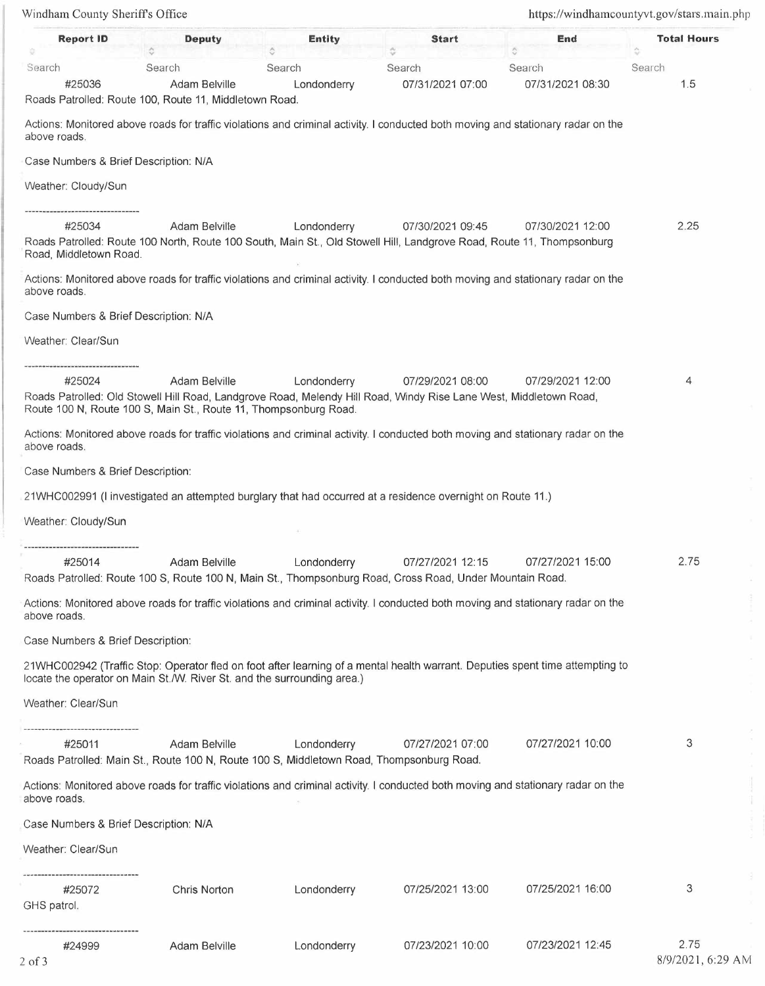Windham County Sheriffs Office https://windhamcountyvt.gov/stars.main.php **Report ID** Deputy **Entity** Entity Start End Total Hours **A <sup>V</sup>V** " Search Search Search Search #25036 Adam Belville Londonderry Roads Patrolled: Route 100, Route 11, Middletown Road. Search 07/31/2021 07:00 Search 07/31/2021 08:30 Search 1.5 Actions: Monitored above roads for traffic violations and criminal activity. I conducted both moving and stationary radar on the above roads. Case Numbers & Brief Description: NIA Weather: Cloudy/Sun #25034 Adam Belville Londonderry 07/30/2021 09:45 07/30/2021 12: 00 Roads Patrolled: Route 100 North, Route 100 South, Main St., Old Stowell Hill, Landgrove Road, Route 11, Thompsonburg Road, Middletown Road. Actions: Monitored above roads for traffic violations and criminal activity. I conducted both moving and stationary radar on the above roads. Case Numbers & Brief Description: N/A Weather: Clear/Sun #25024 Adam Belville Londonderry 07/29/2021 08:00 07/29/2021 12:00 Roads Patrolled: Old Stowell Hill Road, Landgrove Road, Melendy Hill Road, Windy Rise Lane West, Middletown Road, Route 100 N, Route 100 S, Main St., Route 11, Thompsonburg Road. Actions: Monitored above roads for traffic violations and criminal activity. I conducted both moving and stationary radar on the above roads. Case Numbers & Brief Description: 21 WHC002991 (I investigated an attempted burglary that had occurred at a residence overnight on Route 11.) Weather: Cloudy/Sun #25014 Adam Belville Londonderry 07/27/202112:15 07/27/202115:00 Roads Patrolled: Route 100 S, Route 100 N, Main St., Thompsonburg Road, Cross Road, Under Mountain Road. Actions: Monitored above roads for traffic violations and criminal activity. I conducted both moving and stationary radar on the above roads. Case Numbers & Brief Description: 21WHC002942 (Traffic Stop: Operator fled on foot after learning of a mental health warrant. Deputies spent time attempting to locate the operator on Main St./W. River St. and the surrounding area.) Weather: Clear/Sun #25011 Adam Belville Londonderry 07/27/2021 07:00 Roads Patrolled: Main St., Route 100 N, Route 100 S, Middletown Road, Thompsonburg Road. Actions: Monitored above roads for traffic violations and criminal activity. I conducted both moving and stationary radar on the above roads. Case Numbers & Brief Description: N/A Weather: Clear/Sun #25072 GHS patrol. #24999 Chris Norton Adam Belville Londonderry Londonderry 07/25/2021 13:00 07/23/2021 10:00 07/27/2021 10:00 07/25/2021 16:00 07/23/202112:45 2.25 4 2.75 3 3 2.75 8/9/2021, 6:29 AM

2 of 3